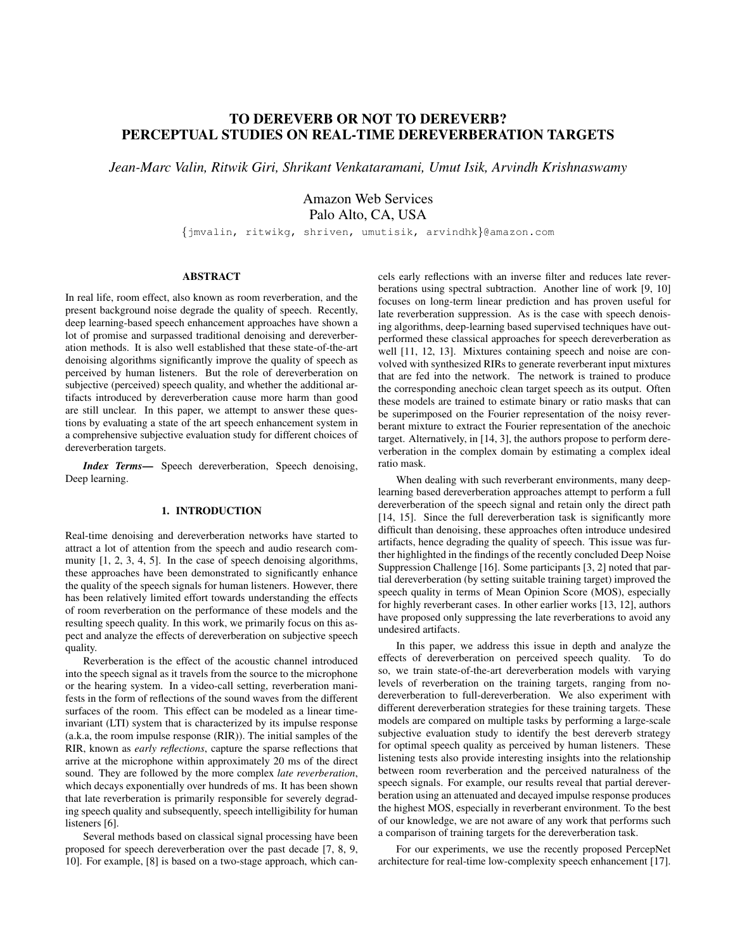# TO DEREVERB OR NOT TO DEREVERB? PERCEPTUAL STUDIES ON REAL-TIME DEREVERBERATION TARGETS

*Jean-Marc Valin, Ritwik Giri, Shrikant Venkataramani, Umut Isik, Arvindh Krishnaswamy*

Amazon Web Services Palo Alto, CA, USA

{jmvalin, ritwikg, shriven, umutisik, arvindhk}@amazon.com

## ABSTRACT

In real life, room effect, also known as room reverberation, and the present background noise degrade the quality of speech. Recently, deep learning-based speech enhancement approaches have shown a lot of promise and surpassed traditional denoising and dereverberation methods. It is also well established that these state-of-the-art denoising algorithms significantly improve the quality of speech as perceived by human listeners. But the role of dereverberation on subjective (perceived) speech quality, and whether the additional artifacts introduced by dereverberation cause more harm than good are still unclear. In this paper, we attempt to answer these questions by evaluating a state of the art speech enhancement system in a comprehensive subjective evaluation study for different choices of dereverberation targets.

*Index Terms*— Speech dereverberation, Speech denoising, Deep learning.

## 1. INTRODUCTION

Real-time denoising and dereverberation networks have started to attract a lot of attention from the speech and audio research community  $[1, 2, 3, 4, 5]$ . In the case of speech denoising algorithms, these approaches have been demonstrated to significantly enhance the quality of the speech signals for human listeners. However, there has been relatively limited effort towards understanding the effects of room reverberation on the performance of these models and the resulting speech quality. In this work, we primarily focus on this aspect and analyze the effects of dereverberation on subjective speech quality.

Reverberation is the effect of the acoustic channel introduced into the speech signal as it travels from the source to the microphone or the hearing system. In a video-call setting, reverberation manifests in the form of reflections of the sound waves from the different surfaces of the room. This effect can be modeled as a linear timeinvariant (LTI) system that is characterized by its impulse response (a.k.a, the room impulse response (RIR)). The initial samples of the RIR, known as *early reflections*, capture the sparse reflections that arrive at the microphone within approximately 20 ms of the direct sound. They are followed by the more complex *late reverberation*, which decays exponentially over hundreds of ms. It has been shown that late reverberation is primarily responsible for severely degrading speech quality and subsequently, speech intelligibility for human listeners [6].

Several methods based on classical signal processing have been proposed for speech dereverberation over the past decade [7, 8, 9, 10]. For example, [8] is based on a two-stage approach, which cancels early reflections with an inverse filter and reduces late reverberations using spectral subtraction. Another line of work [9, 10] focuses on long-term linear prediction and has proven useful for late reverberation suppression. As is the case with speech denoising algorithms, deep-learning based supervised techniques have outperformed these classical approaches for speech dereverberation as well [11, 12, 13]. Mixtures containing speech and noise are convolved with synthesized RIRs to generate reverberant input mixtures that are fed into the network. The network is trained to produce the corresponding anechoic clean target speech as its output. Often these models are trained to estimate binary or ratio masks that can be superimposed on the Fourier representation of the noisy reverberant mixture to extract the Fourier representation of the anechoic target. Alternatively, in [14, 3], the authors propose to perform dereverberation in the complex domain by estimating a complex ideal ratio mask.

When dealing with such reverberant environments, many deeplearning based dereverberation approaches attempt to perform a full dereverberation of the speech signal and retain only the direct path [14, 15]. Since the full dereverberation task is significantly more difficult than denoising, these approaches often introduce undesired artifacts, hence degrading the quality of speech. This issue was further highlighted in the findings of the recently concluded Deep Noise Suppression Challenge [16]. Some participants [3, 2] noted that partial dereverberation (by setting suitable training target) improved the speech quality in terms of Mean Opinion Score (MOS), especially for highly reverberant cases. In other earlier works [13, 12], authors have proposed only suppressing the late reverberations to avoid any undesired artifacts.

In this paper, we address this issue in depth and analyze the effects of dereverberation on perceived speech quality. To do so, we train state-of-the-art dereverberation models with varying levels of reverberation on the training targets, ranging from nodereverberation to full-dereverberation. We also experiment with different dereverberation strategies for these training targets. These models are compared on multiple tasks by performing a large-scale subjective evaluation study to identify the best dereverb strategy for optimal speech quality as perceived by human listeners. These listening tests also provide interesting insights into the relationship between room reverberation and the perceived naturalness of the speech signals. For example, our results reveal that partial dereverberation using an attenuated and decayed impulse response produces the highest MOS, especially in reverberant environment. To the best of our knowledge, we are not aware of any work that performs such a comparison of training targets for the dereverberation task.

For our experiments, we use the recently proposed PercepNet architecture for real-time low-complexity speech enhancement [17].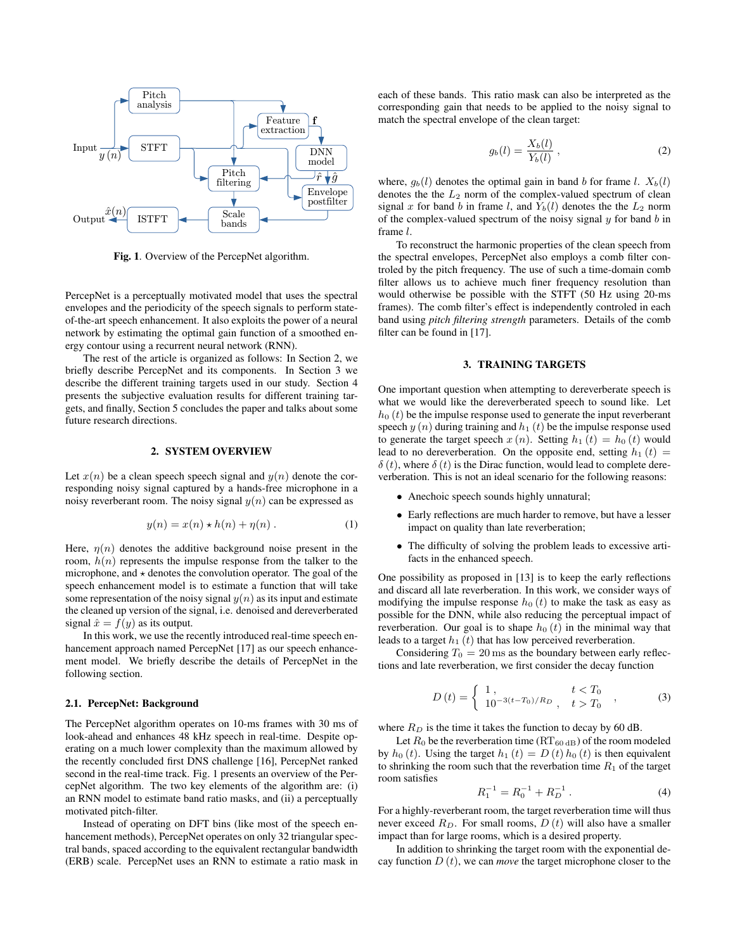

Fig. 1. Overview of the PercepNet algorithm.

PercepNet is a perceptually motivated model that uses the spectral envelopes and the periodicity of the speech signals to perform stateof-the-art speech enhancement. It also exploits the power of a neural network by estimating the optimal gain function of a smoothed energy contour using a recurrent neural network (RNN).

The rest of the article is organized as follows: In Section 2, we briefly describe PercepNet and its components. In Section 3 we describe the different training targets used in our study. Section 4 presents the subjective evaluation results for different training targets, and finally, Section 5 concludes the paper and talks about some future research directions.

## 2. SYSTEM OVERVIEW

Let  $x(n)$  be a clean speech speech signal and  $y(n)$  denote the corresponding noisy signal captured by a hands-free microphone in a noisy reverberant room. The noisy signal  $y(n)$  can be expressed as

$$
y(n) = x(n) \star h(n) + \eta(n) . \tag{1}
$$

Here,  $\eta(n)$  denotes the additive background noise present in the room,  $h(n)$  represents the impulse response from the talker to the microphone, and  $\star$  denotes the convolution operator. The goal of the speech enhancement model is to estimate a function that will take some representation of the noisy signal  $y(n)$  as its input and estimate the cleaned up version of the signal, i.e. denoised and dereverberated signal  $\hat{x} = f(y)$  as its output.

In this work, we use the recently introduced real-time speech enhancement approach named PercepNet [17] as our speech enhancement model. We briefly describe the details of PercepNet in the following section.

## 2.1. PercepNet: Background

The PercepNet algorithm operates on 10-ms frames with 30 ms of look-ahead and enhances 48 kHz speech in real-time. Despite operating on a much lower complexity than the maximum allowed by the recently concluded first DNS challenge [16], PercepNet ranked second in the real-time track. Fig. 1 presents an overview of the PercepNet algorithm. The two key elements of the algorithm are: (i) an RNN model to estimate band ratio masks, and (ii) a perceptually motivated pitch-filter.

Instead of operating on DFT bins (like most of the speech enhancement methods), PercepNet operates on only 32 triangular spectral bands, spaced according to the equivalent rectangular bandwidth (ERB) scale. PercepNet uses an RNN to estimate a ratio mask in

each of these bands. This ratio mask can also be interpreted as the corresponding gain that needs to be applied to the noisy signal to match the spectral envelope of the clean target:

$$
g_b(l) = \frac{X_b(l)}{Y_b(l)}\,,
$$
 (2)

where,  $g_b(l)$  denotes the optimal gain in band b for frame l.  $X_b(l)$ denotes the the  $L_2$  norm of the complex-valued spectrum of clean signal x for band b in frame l, and  $Y_b(l)$  denotes the the  $L_2$  norm of the complex-valued spectrum of the noisy signal  $y$  for band  $b$  in frame l.

To reconstruct the harmonic properties of the clean speech from the spectral envelopes, PercepNet also employs a comb filter controled by the pitch frequency. The use of such a time-domain comb filter allows us to achieve much finer frequency resolution than would otherwise be possible with the STFT (50 Hz using 20-ms frames). The comb filter's effect is independently controled in each band using *pitch filtering strength* parameters. Details of the comb filter can be found in [17].

## 3. TRAINING TARGETS

One important question when attempting to dereverberate speech is what we would like the dereverberated speech to sound like. Let  $h_0(t)$  be the impulse response used to generate the input reverberant speech  $y(n)$  during training and  $h_1(t)$  be the impulse response used to generate the target speech  $x(n)$ . Setting  $h_1(t) = h_0(t)$  would lead to no dereverberation. On the opposite end, setting  $h_1(t)$  =  $\delta(t)$ , where  $\delta(t)$  is the Dirac function, would lead to complete dereverberation. This is not an ideal scenario for the following reasons:

- Anechoic speech sounds highly unnatural;
- Early reflections are much harder to remove, but have a lesser impact on quality than late reverberation;
- The difficulty of solving the problem leads to excessive artifacts in the enhanced speech.

One possibility as proposed in [13] is to keep the early reflections and discard all late reverberation. In this work, we consider ways of modifying the impulse response  $h_0(t)$  to make the task as easy as possible for the DNN, while also reducing the perceptual impact of reverberation. Our goal is to shape  $h_0(t)$  in the minimal way that leads to a target  $h_1(t)$  that has low perceived reverberation.

Considering  $T_0 = 20$  ms as the boundary between early reflections and late reverberation, we first consider the decay function

$$
D(t) = \begin{cases} 1, & t < T_0 \\ 10^{-3(t-T_0)/R_D}, & t > T_0 \end{cases}
$$
 (3)

where  $R_D$  is the time it takes the function to decay by 60 dB.

Let  $R_0$  be the reverberation time ( $RT_{60 \text{ dB}}$ ) of the room modeled by  $h_0(t)$ . Using the target  $h_1(t) = D(t) h_0(t)$  is then equivalent to shrinking the room such that the reverbation time  $R_1$  of the target room satisfies

$$
R_1^{-1} = R_0^{-1} + R_D^{-1} . \tag{4}
$$

For a highly-reverberant room, the target reverberation time will thus never exceed  $R_D$ . For small rooms,  $D(t)$  will also have a smaller impact than for large rooms, which is a desired property.

In addition to shrinking the target room with the exponential decay function  $D(t)$ , we can *move* the target microphone closer to the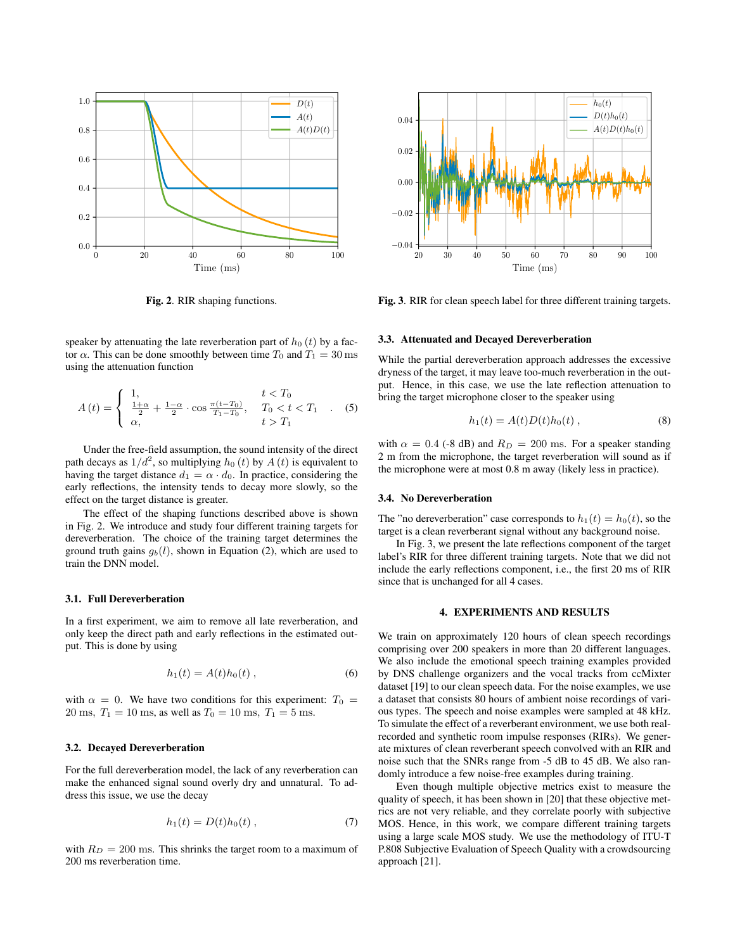

Fig. 2. RIR shaping functions.

speaker by attenuating the late reverberation part of  $h_0(t)$  by a factor  $\alpha$ . This can be done smoothly between time  $T_0$  and  $T_1 = 30$  ms using the attenuation function

$$
A(t) = \begin{cases} 1, & t < T_0 \\ \frac{1+\alpha}{2} + \frac{1-\alpha}{2} \cdot \cos \frac{\pi(t-T_0)}{T_1-T_0}, & T_0 < t < T_1 \\ \alpha, & t > T_1 \end{cases}
$$
 (5)

Under the free-field assumption, the sound intensity of the direct path decays as  $1/d^2$ , so multiplying  $h_0(t)$  by  $A(t)$  is equivalent to having the target distance  $d_1 = \alpha \cdot d_0$ . In practice, considering the early reflections, the intensity tends to decay more slowly, so the effect on the target distance is greater.

The effect of the shaping functions described above is shown in Fig. 2. We introduce and study four different training targets for dereverberation. The choice of the training target determines the ground truth gains  $g_b(l)$ , shown in Equation (2), which are used to train the DNN model.

## 3.1. Full Dereverberation

In a first experiment, we aim to remove all late reverberation, and only keep the direct path and early reflections in the estimated output. This is done by using

$$
h_1(t) = A(t)h_0(t) , \t\t(6)
$$

with  $\alpha = 0$ . We have two conditions for this experiment:  $T_0 =$ 20 ms,  $T_1 = 10$  ms, as well as  $T_0 = 10$  ms,  $T_1 = 5$  ms.

## 3.2. Decayed Dereverberation

For the full dereverberation model, the lack of any reverberation can make the enhanced signal sound overly dry and unnatural. To address this issue, we use the decay

$$
h_1(t) = D(t)h_0(t) \t\t(7)
$$

with  $R_D = 200$  ms. This shrinks the target room to a maximum of 200 ms reverberation time.



Fig. 3. RIR for clean speech label for three different training targets.

#### 3.3. Attenuated and Decayed Dereverberation

While the partial dereverberation approach addresses the excessive dryness of the target, it may leave too-much reverberation in the output. Hence, in this case, we use the late reflection attenuation to bring the target microphone closer to the speaker using

$$
h_1(t) = A(t)D(t)h_0(t) , \t\t(8)
$$

with  $\alpha = 0.4$  (-8 dB) and  $R_D = 200$  ms. For a speaker standing 2 m from the microphone, the target reverberation will sound as if the microphone were at most 0.8 m away (likely less in practice).

## 3.4. No Dereverberation

The "no dereverberation" case corresponds to  $h_1(t) = h_0(t)$ , so the target is a clean reverberant signal without any background noise.

In Fig. 3, we present the late reflections component of the target label's RIR for three different training targets. Note that we did not include the early reflections component, i.e., the first 20 ms of RIR since that is unchanged for all 4 cases.

## 4. EXPERIMENTS AND RESULTS

We train on approximately 120 hours of clean speech recordings comprising over 200 speakers in more than 20 different languages. We also include the emotional speech training examples provided by DNS challenge organizers and the vocal tracks from ccMixter dataset [19] to our clean speech data. For the noise examples, we use a dataset that consists 80 hours of ambient noise recordings of various types. The speech and noise examples were sampled at 48 kHz. To simulate the effect of a reverberant environment, we use both realrecorded and synthetic room impulse responses (RIRs). We generate mixtures of clean reverberant speech convolved with an RIR and noise such that the SNRs range from -5 dB to 45 dB. We also randomly introduce a few noise-free examples during training.

Even though multiple objective metrics exist to measure the quality of speech, it has been shown in [20] that these objective metrics are not very reliable, and they correlate poorly with subjective MOS. Hence, in this work, we compare different training targets using a large scale MOS study. We use the methodology of ITU-T P.808 Subjective Evaluation of Speech Quality with a crowdsourcing approach [21].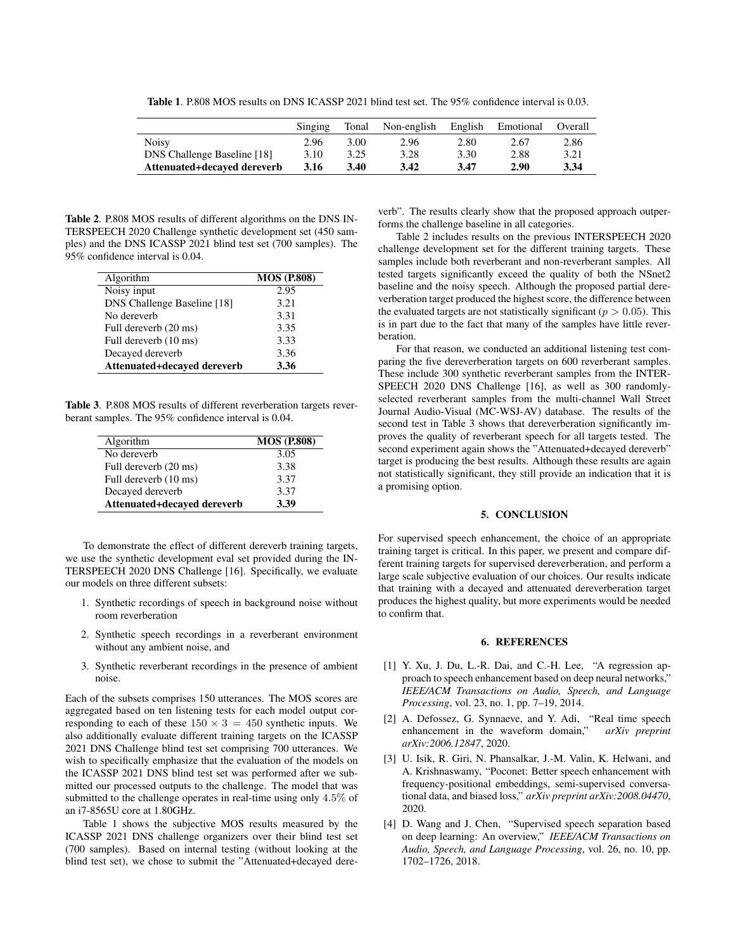Table 1. P.808 MOS results on DNS ICASSP 2021 blind test set. The 95% confidence interval is 0.03.

|                                    | Singing | Tonal | Non-english | English | Emotional | Overall |
|------------------------------------|---------|-------|-------------|---------|-----------|---------|
| <b>Noisy</b>                       | 2.96    | 3.00  | 2.96        | 2.80    | 2.67      | 2.86    |
| <b>DNS Challenge Baseline [18]</b> | 3.10    | 3.25  | 3.28        | 3.30    | 2.88      | 3.21    |
| Attenuated+decaved dereverb        | 3.16    | 3.40  | 3.42        | 3.47    | 2.90      | 3.34    |

Table 2. P.808 MOS results of different algorithms on the DNS IN-TERSPEECH 2020 Challenge synthetic development set (450 samples) and the DNS ICASSP 2021 blind test set (700 samples). The 95% confidence interval is 0.04.

| Algorithm                          | <b>MOS (P.808)</b> |
|------------------------------------|--------------------|
| Noisy input                        | 2.95               |
| <b>DNS Challenge Baseline [18]</b> | 3.21               |
| No dereverb                        | 3.31               |
| Full dereverb (20 ms)              | 3.35               |
| Full dereverb (10 ms)              | 3.33               |
| Decayed dereverb                   | 3.36               |
| Attenuated+decayed dereverb        | 3.36               |

Table 3. P.808 MOS results of different reverberation targets reverberant samples. The 95% confidence interval is 0.04.

| Algorithm                   | <b>MOS (P.808)</b> |
|-----------------------------|--------------------|
| No dereverb                 | 3.05               |
| Full dereverb (20 ms)       | 3.38               |
| Full dereverb (10 ms)       | 3.37               |
| Decayed dereverb            | 3.37               |
| Attenuated+decayed dereverb | 3.39               |

To demonstrate the effect of different dereverb training targets, we use the synthetic development eval set provided during the IN-TERSPEECH 2020 DNS Challenge [16]. Specifically, we evaluate our models on three different subsets:

- 1. Synthetic recordings of speech in background noise without room reverberation
- 2. Synthetic speech recordings in a reverberant environment without any ambient noise, and
- 3. Synthetic reverberant recordings in the presence of ambient noise.

Each of the subsets comprises 150 utterances. The MOS scores are aggregated based on ten listening tests for each model output corresponding to each of these  $150 \times 3 = 450$  synthetic inputs. We also additionally evaluate different training targets on the ICASSP 2021 DNS Challenge blind test set comprising 700 utterances. We wish to specifically emphasize that the evaluation of the models on the ICASSP 2021 DNS blind test set was performed after we submitted our processed outputs to the challenge. The model that was submitted to the challenge operates in real-time using only 4.5% of an i7-8565U core at 1.80GHz.

Table 1 shows the subjective MOS results measured by the ICASSP 2021 DNS challenge organizers over their blind test set (700 samples). Based on internal testing (without looking at the blind test set), we chose to submit the "Attenuated+decayed dereverb". The results clearly show that the proposed approach outperforms the challenge baseline in all categories.

Table 2 includes results on the previous INTERSPEECH 2020 challenge development set for the different training targets. These samples include both reverberant and non-reverberant samples. All tested targets significantly exceed the quality of both the NSnet2 baseline and the noisy speech. Although the proposed partial dereverberation target produced the highest score, the difference between the evaluated targets are not statistically significant ( $p > 0.05$ ). This is in part due to the fact that many of the samples have little reverberation.

For that reason, we conducted an additional listening test comparing the five dereverberation targets on 600 reverberant samples. These include 300 synthetic reverberant samples from the INTER-SPEECH 2020 DNS Challenge [16], as well as 300 randomlyselected reverberant samples from the multi-channel Wall Street Journal Audio-Visual (MC-WSJ-AV) database. The results of the second test in Table 3 shows that dereverberation significantly improves the quality of reverberant speech for all targets tested. The second experiment again shows the "Attenuated+decayed dereverb" target is producing the best results. Although these results are again not statistically significant, they still provide an indication that it is a promising option.

# 5. CONCLUSION

For supervised speech enhancement, the choice of an appropriate training target is critical. In this paper, we present and compare different training targets for supervised dereverberation, and perform a large scale subjective evaluation of our choices. Our results indicate that training with a decayed and attenuated dereverberation target produces the highest quality, but more experiments would be needed to confirm that.

#### 6. REFERENCES

- [1] Y. Xu, J. Du, L.-R. Dai, and C.-H. Lee, "A regression approach to speech enhancement based on deep neural networks," *IEEE/ACM Transactions on Audio, Speech, and Language Processing*, vol. 23, no. 1, pp. 7–19, 2014.
- [2] A. Defossez, G. Synnaeve, and Y. Adi, "Real time speech enhancement in the waveform domain," *arXiv preprint arXiv:2006.12847*, 2020.
- [3] U. Isik, R. Giri, N. Phansalkar, J.-M. Valin, K. Helwani, and A. Krishnaswamy, "Poconet: Better speech enhancement with frequency-positional embeddings, semi-supervised conversational data, and biased loss," *arXiv preprint arXiv:2008.04470*, 2020.
- [4] D. Wang and J. Chen, "Supervised speech separation based on deep learning: An overview," *IEEE/ACM Transactions on Audio, Speech, and Language Processing*, vol. 26, no. 10, pp. 1702–1726, 2018.